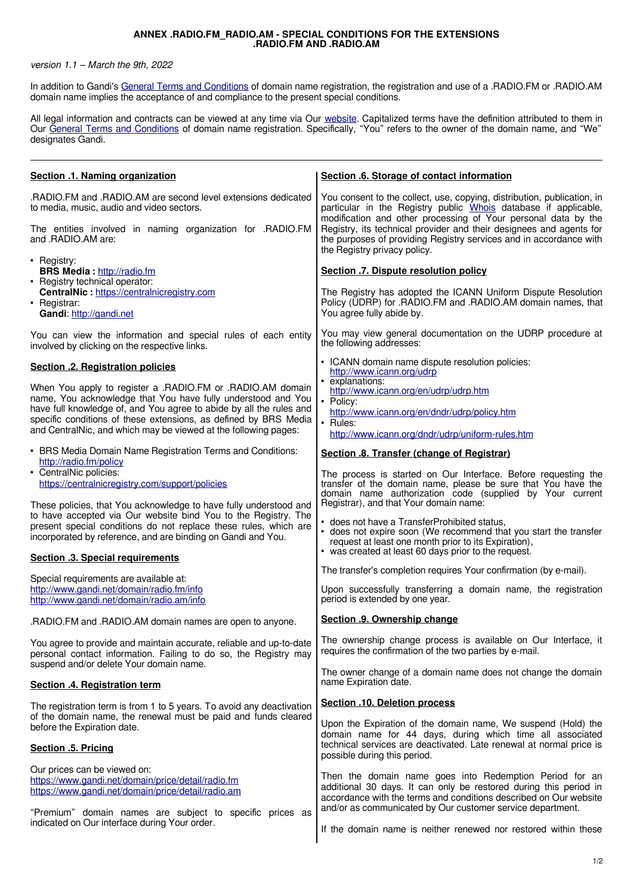## **ANNEX .RADIO.FM\_RADIO.AM - SPECIAL CONDITIONS FOR THE EXTENSIONS .RADIO.FM AND .RADIO.AM**

## version 1.1 – March the 9th, 2022

In addition to Gandi's [General Terms and Conditions](http://www.gandi.net/contracts) of domain name registration, the registration and use of a .RADIO.FM or .RADIO.AM domain name implies the acceptance of and compliance to the present special conditions.

All legal information and contracts can be viewed at any time via Our [website.](https://www.gandi.net/en) Capitalized terms have the definition attributed to them in Our [General Terms and Conditions](https://www.gandi.net/fr/contracts/terms-of-service) of domain name registration. Specifically, "You" refers to the owner of the domain name, and "We" designates Gandi.

| Section .1. Naming organization                                                                                                                                                                    | Section .6. Storage of contact information                                                                                                                                                                                            |
|----------------------------------------------------------------------------------------------------------------------------------------------------------------------------------------------------|---------------------------------------------------------------------------------------------------------------------------------------------------------------------------------------------------------------------------------------|
| RADIO.FM and .RADIO.AM are second level extensions dedicated.<br>to media, music, audio and video sectors.                                                                                         | You consent to the collect, use, copying, distribution, publication, in<br>particular in the Registry public Whois database if applicable,<br>modification and other processing of Your personal data by the                          |
| The entities involved in naming organization for .RADIO.FM<br>and .RADIO.AM are:                                                                                                                   | Registry, its technical provider and their designees and agents for<br>the purposes of providing Registry services and in accordance with<br>the Registry privacy policy.                                                             |
| • Registry:<br><b>BRS Media: http://radio.fm</b><br>• Registry technical operator:                                                                                                                 | Section .7. Dispute resolution policy                                                                                                                                                                                                 |
| CentralNic: https://centralnicregistry.com<br>• Registrar:<br>Gandi: http://gandi.net                                                                                                              | The Registry has adopted the ICANN Uniform Dispute Resolution<br>Policy (UDRP) for .RADIO.FM and .RADIO.AM domain names, that<br>You agree fully abide by.                                                                            |
| You can view the information and special rules of each entity<br>involved by clicking on the respective links.                                                                                     | You may view general documentation on the UDRP procedure at<br>the following addresses:                                                                                                                                               |
| Section .2. Registration policies                                                                                                                                                                  | • ICANN domain name dispute resolution policies:<br>http://www.icann.org/udrp                                                                                                                                                         |
| When You apply to register a .RADIO.FM or .RADIO.AM domain<br>name, You acknowledge that You have fully understood and You                                                                         | • explanations:<br>http://www.icann.org/en/udrp/udrp.htm<br>• Policy:                                                                                                                                                                 |
| have full knowledge of, and You agree to abide by all the rules and<br>specific conditions of these extensions, as defined by BRS Media                                                            | http://www.icann.org/en/dndr/udrp/policy.htm<br>$\cdot$ Rules:                                                                                                                                                                        |
| and CentralNic, and which may be viewed at the following pages:                                                                                                                                    | http://www.icann.org/dndr/udrp/uniform-rules.htm                                                                                                                                                                                      |
| • BRS Media Domain Name Registration Terms and Conditions:<br>http://radio.fm/policy                                                                                                               | Section .8. Transfer (change of Registrar)                                                                                                                                                                                            |
| • CentralNic policies:<br>https://centralnicregistry.com/support/policies<br>These policies, that You acknowledge to have fully understood and                                                     | The process is started on Our Interface. Before requesting the<br>transfer of the domain name, please be sure that You have the<br>domain name authorization code (supplied by Your current<br>Registrar), and that Your domain name: |
| to have accepted via Our website bind You to the Registry. The<br>present special conditions do not replace these rules, which are<br>incorporated by reference, and are binding on Gandi and You. | • does not have a TransferProhibited status,<br>• does not expire soon (We recommend that you start the transfer<br>request at least one month prior to its Expiration),                                                              |
| <b>Section .3. Special requirements</b>                                                                                                                                                            | • was created at least 60 days prior to the request.                                                                                                                                                                                  |
| Special requirements are available at:                                                                                                                                                             | The transfer's completion requires Your confirmation (by e-mail).                                                                                                                                                                     |
| http://www.gandi.net/domain/radio.fm/info<br>http://www.gandi.net/domain/radio.am/info                                                                                                             | Upon successfully transferring a domain name, the registration<br>period is extended by one year.                                                                                                                                     |
| .RADIO.FM and .RADIO.AM domain names are open to anyone.                                                                                                                                           | Section .9. Ownership change                                                                                                                                                                                                          |
| You agree to provide and maintain accurate, reliable and up-to-date<br>personal contact information. Failing to do so, the Registry may<br>suspend and/or delete Your domain name.                 | The ownership change process is available on Our Interface, it<br>requires the confirmation of the two parties by e-mail.                                                                                                             |
| Section .4. Registration term                                                                                                                                                                      | The owner change of a domain name does not change the domain<br>name Expiration date.                                                                                                                                                 |
| The registration term is from 1 to 5 years. To avoid any deactivation                                                                                                                              | Section .10. Deletion process                                                                                                                                                                                                         |
| of the domain name, the renewal must be paid and funds cleared<br>before the Expiration date.                                                                                                      | Upon the Expiration of the domain name, We suspend (Hold) the<br>domain name for 44 days, during which time all associated                                                                                                            |
| <b>Section .5. Pricing</b>                                                                                                                                                                         | technical services are deactivated. Late renewal at normal price is<br>possible during this period.                                                                                                                                   |
| Our prices can be viewed on:<br>https://www.gandi.net/domain/price/detail/radio.fm<br>https://www.gandi.net/domain/price/detail/radio.am                                                           | Then the domain name goes into Redemption Period for an<br>additional 30 days. It can only be restored during this period in<br>accordance with the terms and conditions described on Our website                                     |
| "Premium" domain names are subject to specific prices as<br>indicated on Our interface during Your order.                                                                                          | and/or as communicated by Our customer service department.<br>If the domain name is neither renewed nor restored within these                                                                                                         |